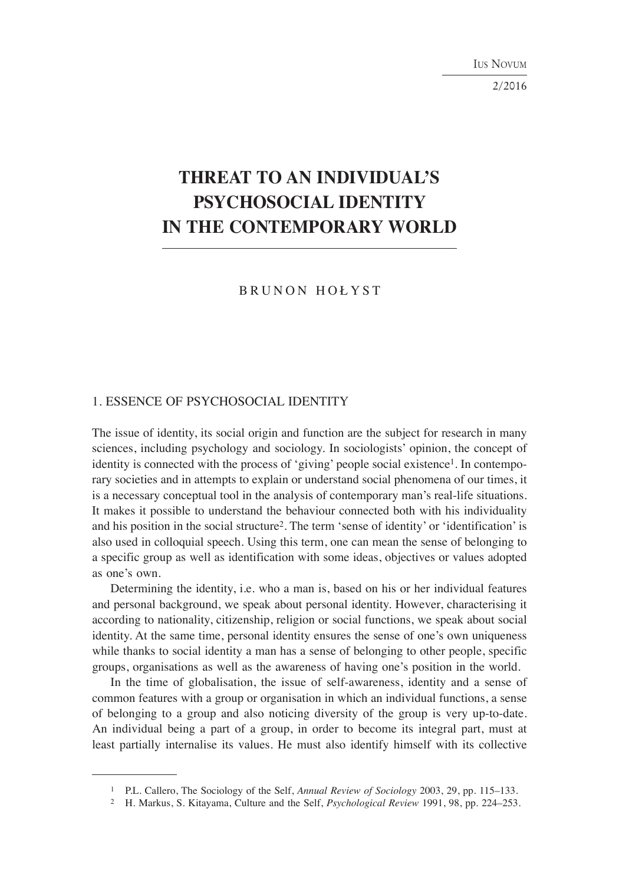IUS NOVUM

2/2016

# **THREAT TO AN INDIVIDUAL'S PSYCHOSOCIAL IDENTITY IN THE CONTEMPORARY WORLD**

BRUNON HOŁYST

#### 1. ESSENCE OF PSYCHOSOCIAL IDENTITY

The issue of identity, its social origin and function are the subject for research in many sciences, including psychology and sociology. In sociologists' opinion, the concept of identity is connected with the process of 'giving' people social existence1. In contemporary societies and in attempts to explain or understand social phenomena of our times, it is a necessary conceptual tool in the analysis of contemporary man's real-life situations. It makes it possible to understand the behaviour connected both with his individuality and his position in the social structure2. The term 'sense of identity' or 'identification' is also used in colloquial speech. Using this term, one can mean the sense of belonging to a specific group as well as identification with some ideas, objectives or values adopted as one's own.

Determining the identity, i.e. who a man is, based on his or her individual features and personal background, we speak about personal identity. However, characterising it according to nationality, citizenship, religion or social functions, we speak about social identity. At the same time, personal identity ensures the sense of one's own uniqueness while thanks to social identity a man has a sense of belonging to other people, specific groups, organisations as well as the awareness of having one's position in the world.

In the time of globalisation, the issue of self-awareness, identity and a sense of common features with a group or organisation in which an individual functions, a sense of belonging to a group and also noticing diversity of the group is very up-to-date. An individual being a part of a group, in order to become its integral part, must at least partially internalise its values. He must also identify himself with its collective

<sup>1</sup> P.L. Callero, The Sociology of the Self, *Annual Review of Sociology* 2003, 29, pp. 115–133.

<sup>2</sup> H. Markus, S. Kitayama, Culture and the Self, *Psychological Review* 1991, 98, pp. 224–253.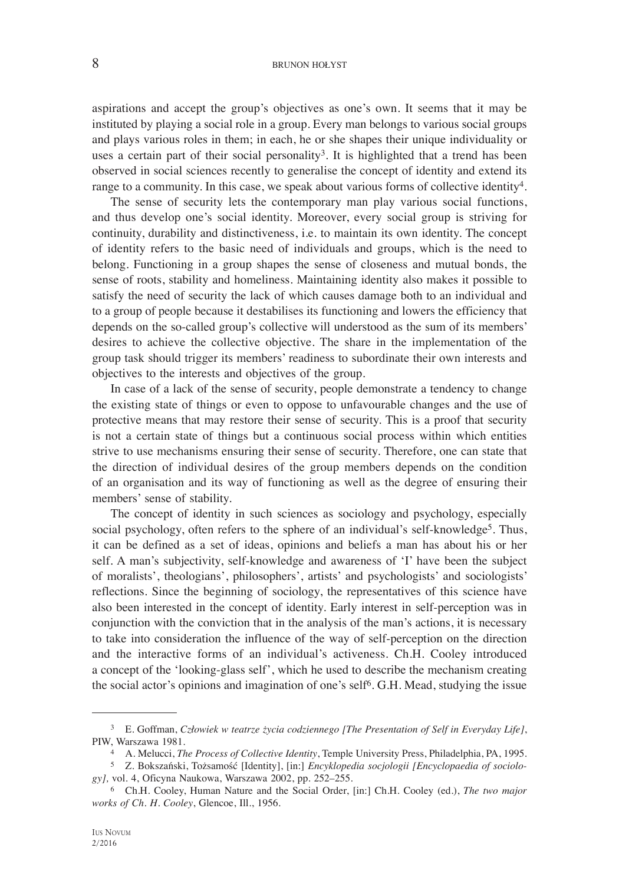#### 8 BRUNON HOŁYST

aspirations and accept the group's objectives as one's own. It seems that it may be instituted by playing a social role in a group. Every man belongs to various social groups and plays various roles in them; in each, he or she shapes their unique individuality or uses a certain part of their social personality<sup>3</sup>. It is highlighted that a trend has been observed in social sciences recently to generalise the concept of identity and extend its range to a community. In this case, we speak about various forms of collective identity4.

The sense of security lets the contemporary man play various social functions, and thus develop one's social identity. Moreover, every social group is striving for continuity, durability and distinctiveness, i.e. to maintain its own identity. The concept of identity refers to the basic need of individuals and groups, which is the need to belong. Functioning in a group shapes the sense of closeness and mutual bonds, the sense of roots, stability and homeliness. Maintaining identity also makes it possible to satisfy the need of security the lack of which causes damage both to an individual and to a group of people because it destabilises its functioning and lowers the efficiency that depends on the so-called group's collective will understood as the sum of its members' desires to achieve the collective objective. The share in the implementation of the group task should trigger its members' readiness to subordinate their own interests and objectives to the interests and objectives of the group.

In case of a lack of the sense of security, people demonstrate a tendency to change the existing state of things or even to oppose to unfavourable changes and the use of protective means that may restore their sense of security. This is a proof that security is not a certain state of things but a continuous social process within which entities strive to use mechanisms ensuring their sense of security. Therefore, one can state that the direction of individual desires of the group members depends on the condition of an organisation and its way of functioning as well as the degree of ensuring their members' sense of stability.

The concept of identity in such sciences as sociology and psychology, especially social psychology, often refers to the sphere of an individual's self-knowledge<sup>5</sup>. Thus, it can be defined as a set of ideas, opinions and beliefs a man has about his or her self. A man's subjectivity, self-knowledge and awareness of 'I' have been the subject of moralists', theologians', philosophers', artists' and psychologists' and sociologists' reflections. Since the beginning of sociology, the representatives of this science have also been interested in the concept of identity. Early interest in self-perception was in conjunction with the conviction that in the analysis of the man's actions, it is necessary to take into consideration the influence of the way of self-perception on the direction and the interactive forms of an individual's activeness. Ch.H. Cooley introduced a concept of the 'looking-glass self', which he used to describe the mechanism creating the social actor's opinions and imagination of one's self6. G.H. Mead, studying the issue

<sup>3</sup> E. Goffman, *Człowiek w teatrze życia codziennego [The Presentation of Self in Everyday Life]*, PIW, Warszawa 1981.

<sup>4</sup> A. Melucci, *The Process of Collective Identity*, Temple University Press, Philadelphia, PA, 1995.

<sup>5</sup> Z. Bokszański, Tożsamość [Identity], [in:] *Encyklopedia socjologii [Encyclopaedia of sociology],* vol. 4, Oficyna Naukowa, Warszawa 2002, pp. 252–255.

<sup>6</sup> Ch.H. Cooley, Human Nature and the Social Order, [in:] Ch.H. Cooley (ed.), *The two major works of Ch. H. Cooley*, Glencoe, Ill., 1956.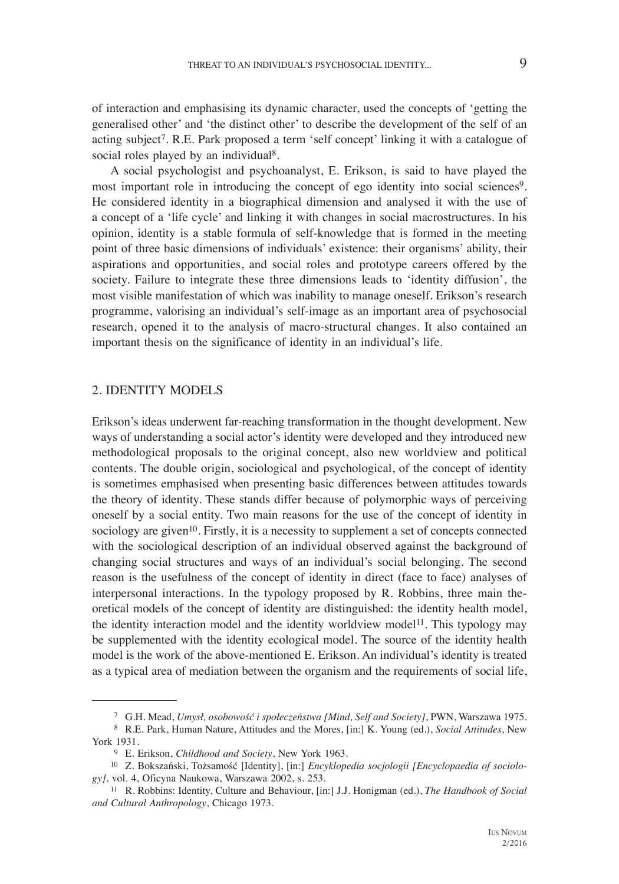of interaction and emphasising its dynamic character, used the concepts of 'getting the generalised other' and 'the distinct other' to describe the development of the self of an acting subject7. R.E. Park proposed a term 'self concept' linking it with a catalogue of social roles played by an individual<sup>8</sup>.

A social psychologist and psychoanalyst, E. Erikson, is said to have played the most important role in introducing the concept of ego identity into social sciences<sup>9</sup>. He considered identity in a biographical dimension and analysed it with the use of a concept of a 'life cycle' and linking it with changes in social macrostructures. In his opinion, identity is a stable formula of self-knowledge that is formed in the meeting point of three basic dimensions of individuals' existence: their organisms' ability, their aspirations and opportunities, and social roles and prototype careers offered by the society. Failure to integrate these three dimensions leads to 'identity diffusion', the most visible manifestation of which was inability to manage oneself. Erikson's research programme, valorising an individual's self-image as an important area of psychosocial research, opened it to the analysis of macro-structural changes. It also contained an important thesis on the significance of identity in an individual's life.

#### 2. IDENTITY MODELS

Erikson's ideas underwent far-reaching transformation in the thought development. New ways of understanding a social actor's identity were developed and they introduced new methodological proposals to the original concept, also new worldview and political contents. The double origin, sociological and psychological, of the concept of identity is sometimes emphasised when presenting basic differences between attitudes towards the theory of identity. These stands differ because of polymorphic ways of perceiving oneself by a social entity. Two main reasons for the use of the concept of identity in sociology are given<sup>10</sup>. Firstly, it is a necessity to supplement a set of concepts connected with the sociological description of an individual observed against the background of changing social structures and ways of an individual's social belonging. The second reason is the usefulness of the concept of identity in direct (face to face) analyses of interpersonal interactions. In the typology proposed by R. Robbins, three main theoretical models of the concept of identity are distinguished: the identity health model, the identity interaction model and the identity worldview model11. This typology may be supplemented with the identity ecological model. The source of the identity health model is the work of the above-mentioned E. Erikson. An individual's identity is treated as a typical area of mediation between the organism and the requirements of social life,

<sup>&</sup>lt;sup>7</sup> G.H. Mead, *Umysł, osobowość i społeczeństwa [Mind, Self and Society]*, PWN, Warszawa 1975.<br><sup>8</sup> R.E. Park, Human Nature, Attitudes and the Mores, [in:] K. Young (ed.), *Social Attitudes*, New

York 1931. 9 E. Erikson, *Childhood and Society*, New York 1963.

<sup>10</sup> Z. Bokszański, Tożsamość [Identity], [in:] *Encyklopedia socjologii [Encyclopaedia of sociology]*, vol. 4, Oficyna Naukowa, Warszawa 2002, s. 253.

<sup>11</sup> R. Robbins: Identity, Culture and Behaviour, [in:] J.J. Honigman (ed.), *The Handbook of Social and Cultural Anthropology*, Chicago 1973.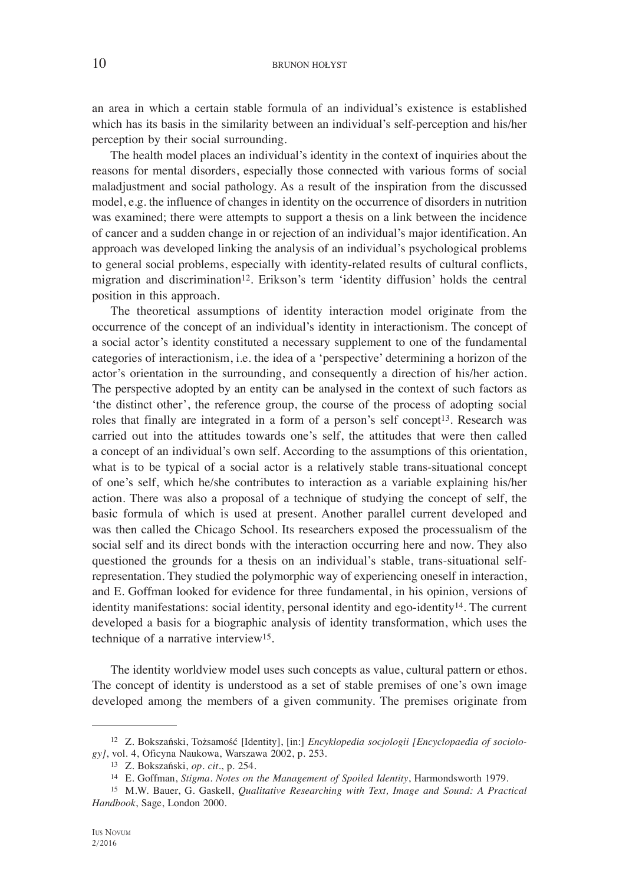an area in which a certain stable formula of an individual's existence is established which has its basis in the similarity between an individual's self-perception and his/her perception by their social surrounding.

The health model places an individual's identity in the context of inquiries about the reasons for mental disorders, especially those connected with various forms of social maladjustment and social pathology. As a result of the inspiration from the discussed model, e.g. the influence of changes in identity on the occurrence of disorders in nutrition was examined; there were attempts to support a thesis on a link between the incidence of cancer and a sudden change in or rejection of an individual's major identification. An approach was developed linking the analysis of an individual's psychological problems to general social problems, especially with identity-related results of cultural conflicts, migration and discrimination12. Erikson's term 'identity diffusion' holds the central position in this approach.

The theoretical assumptions of identity interaction model originate from the occurrence of the concept of an individual's identity in interactionism. The concept of a social actor's identity constituted a necessary supplement to one of the fundamental categories of interactionism, i.e. the idea of a 'perspective' determining a horizon of the actor's orientation in the surrounding, and consequently a direction of his/her action. The perspective adopted by an entity can be analysed in the context of such factors as 'the distinct other', the reference group, the course of the process of adopting social roles that finally are integrated in a form of a person's self concept<sup>13</sup>. Research was carried out into the attitudes towards one's self, the attitudes that were then called a concept of an individual's own self. According to the assumptions of this orientation, what is to be typical of a social actor is a relatively stable trans-situational concept of one's self, which he/she contributes to interaction as a variable explaining his/her action. There was also a proposal of a technique of studying the concept of self, the basic formula of which is used at present. Another parallel current developed and was then called the Chicago School. Its researchers exposed the processualism of the social self and its direct bonds with the interaction occurring here and now. They also questioned the grounds for a thesis on an individual's stable, trans-situational selfrepresentation. They studied the polymorphic way of experiencing oneself in interaction, and E. Goffman looked for evidence for three fundamental, in his opinion, versions of identity manifestations: social identity, personal identity and ego-identity<sup>14</sup>. The current developed a basis for a biographic analysis of identity transformation, which uses the technique of a narrative interview15.

The identity worldview model uses such concepts as value, cultural pattern or ethos. The concept of identity is understood as a set of stable premises of one's own image developed among the members of a given community. The premises originate from

<sup>12</sup> Z. Bokszański, Tożsamość [Identity], [in:] *Encyklopedia socjologii [Encyclopaedia of sociology]*, vol. 4, Oficyna Naukowa, Warszawa 2002, p. 253.

<sup>13</sup> Z. Bokszański, *op. cit.*, p. 254.

<sup>14</sup> E. Goffman, *Stigma. Notes on the Management of Spoiled Identity*, Harmondsworth 1979.

<sup>15</sup> M.W. Bauer, G. Gaskell, *Qualitative Researching with Text, Image and Sound: A Practical Handbook*, Sage, London 2000.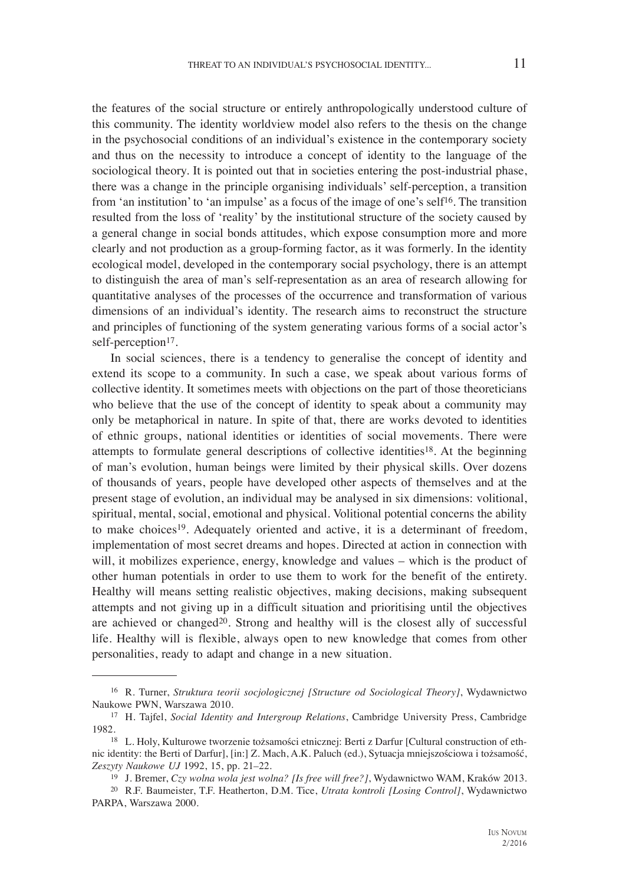the features of the social structure or entirely anthropologically understood culture of this community. The identity worldview model also refers to the thesis on the change in the psychosocial conditions of an individual's existence in the contemporary society and thus on the necessity to introduce a concept of identity to the language of the sociological theory. It is pointed out that in societies entering the post-industrial phase, there was a change in the principle organising individuals' self-perception, a transition from 'an institution' to 'an impulse' as a focus of the image of one's self16. The transition resulted from the loss of 'reality' by the institutional structure of the society caused by a general change in social bonds attitudes, which expose consumption more and more clearly and not production as a group-forming factor, as it was formerly. In the identity ecological model, developed in the contemporary social psychology, there is an attempt to distinguish the area of man's self-representation as an area of research allowing for

quantitative analyses of the processes of the occurrence and transformation of various dimensions of an individual's identity. The research aims to reconstruct the structure and principles of functioning of the system generating various forms of a social actor's self-perception<sup>17</sup>.

In social sciences, there is a tendency to generalise the concept of identity and extend its scope to a community. In such a case, we speak about various forms of collective identity. It sometimes meets with objections on the part of those theoreticians who believe that the use of the concept of identity to speak about a community may only be metaphorical in nature. In spite of that, there are works devoted to identities of ethnic groups, national identities or identities of social movements. There were attempts to formulate general descriptions of collective identities18. At the beginning of man's evolution, human beings were limited by their physical skills. Over dozens of thousands of years, people have developed other aspects of themselves and at the present stage of evolution, an individual may be analysed in six dimensions: volitional, spiritual, mental, social, emotional and physical. Volitional potential concerns the ability to make choices19. Adequately oriented and active, it is a determinant of freedom, implementation of most secret dreams and hopes. Directed at action in connection with will, it mobilizes experience, energy, knowledge and values – which is the product of other human potentials in order to use them to work for the benefit of the entirety. Healthy will means setting realistic objectives, making decisions, making subsequent attempts and not giving up in a difficult situation and prioritising until the objectives are achieved or changed<sup>20</sup>. Strong and healthy will is the closest ally of successful life. Healthy will is flexible, always open to new knowledge that comes from other personalities, ready to adapt and change in a new situation.

<sup>16</sup> R. Turner, *Struktura teorii socjologicznej [Structure od Sociological Theory]*, Wydawnictwo Naukowe PWN, Warszawa 2010.

<sup>17</sup> H. Tajfel, *Social Identity and Intergroup Relations*, Cambridge University Press, Cambridge

<sup>&</sup>lt;sup>18</sup> L. Holy, Kulturowe tworzenie tożsamości etnicznej: Berti z Darfur [Cultural construction of ethnic identity: the Berti of Darfur], [in:] Z. Mach, A.K. Paluch (ed.), Sytuacja mniejszościowa i tożsamość, *Zeszyty Naukowe UJ* 1992, 15, pp. 21–22.

<sup>19</sup> J. Bremer, *Czy wolna wola jest wolna? [Is free will free?]*, Wydawnictwo WAM, Kraków 2013.

<sup>20</sup> R.F. Baumeister, T.F. Heatherton, D.M. Tice, *Utrata kontroli [Losing Control]*, Wydawnictwo PARPA, Warszawa 2000.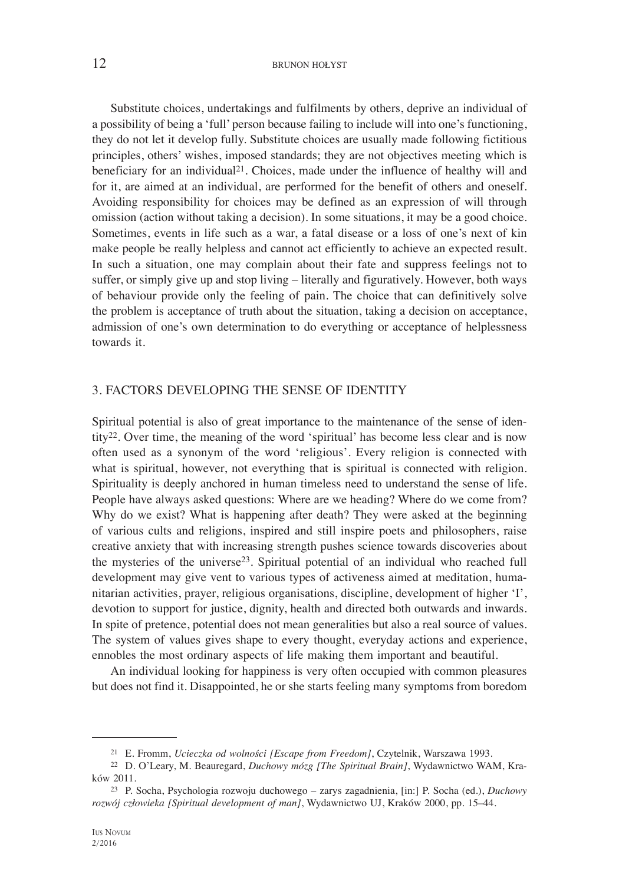#### 12 BRUNON HOŁYST

Substitute choices, undertakings and fulfilments by others, deprive an individual of a possibility of being a 'full' person because failing to include will into one's functioning, they do not let it develop fully. Substitute choices are usually made following fictitious principles, others' wishes, imposed standards; they are not objectives meeting which is beneficiary for an individual<sup>21</sup>. Choices, made under the influence of healthy will and for it, are aimed at an individual, are performed for the benefit of others and oneself. Avoiding responsibility for choices may be defined as an expression of will through omission (action without taking a decision). In some situations, it may be a good choice. Sometimes, events in life such as a war, a fatal disease or a loss of one's next of kin make people be really helpless and cannot act efficiently to achieve an expected result. In such a situation, one may complain about their fate and suppress feelings not to suffer, or simply give up and stop living – literally and figuratively. However, both ways of behaviour provide only the feeling of pain. The choice that can definitively solve the problem is acceptance of truth about the situation, taking a decision on acceptance, admission of one's own determination to do everything or acceptance of helplessness towards it.

#### 3. FACTORS DEVELOPING THE SENSE OF IDENTITY

Spiritual potential is also of great importance to the maintenance of the sense of identity<sup>22</sup>. Over time, the meaning of the word 'spiritual' has become less clear and is now often used as a synonym of the word 'religious'. Every religion is connected with what is spiritual, however, not everything that is spiritual is connected with religion. Spirituality is deeply anchored in human timeless need to understand the sense of life. People have always asked questions: Where are we heading? Where do we come from? Why do we exist? What is happening after death? They were asked at the beginning of various cults and religions, inspired and still inspire poets and philosophers, raise creative anxiety that with increasing strength pushes science towards discoveries about the mysteries of the universe23. Spiritual potential of an individual who reached full development may give vent to various types of activeness aimed at meditation, humanitarian activities, prayer, religious organisations, discipline, development of higher 'I', devotion to support for justice, dignity, health and directed both outwards and inwards. In spite of pretence, potential does not mean generalities but also a real source of values. The system of values gives shape to every thought, everyday actions and experience, ennobles the most ordinary aspects of life making them important and beautiful.

An individual looking for happiness is very often occupied with common pleasures but does not find it. Disappointed, he or she starts feeling many symptoms from boredom

<sup>21</sup> E. Fromm, *Ucieczka od wolności [Escape from Freedom]*, Czytelnik, Warszawa 1993.

<sup>22</sup> D. O'Leary, M. Beauregard, *Duchowy mózg [The Spiritual Brain]*, Wydawnictwo WAM, Kraków 2011.

<sup>23</sup> P. Socha, Psychologia rozwoju duchowego – zarys zagadnienia, [in:] P. Socha (ed.), *Duchowy rozwój człowieka [Spiritual development of man]*, Wydawnictwo UJ, Kraków 2000, pp. 15–44.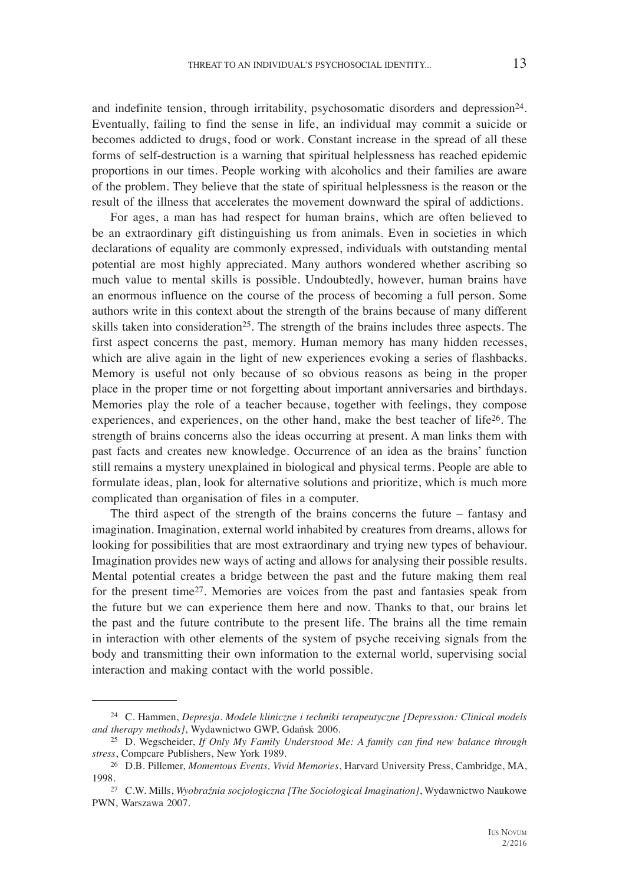and indefinite tension, through irritability, psychosomatic disorders and depression24. Eventually, failing to find the sense in life, an individual may commit a suicide or becomes addicted to drugs, food or work. Constant increase in the spread of all these forms of self-destruction is a warning that spiritual helplessness has reached epidemic proportions in our times. People working with alcoholics and their families are aware of the problem. They believe that the state of spiritual helplessness is the reason or the result of the illness that accelerates the movement downward the spiral of addictions.

For ages, a man has had respect for human brains, which are often believed to be an extraordinary gift distinguishing us from animals. Even in societies in which declarations of equality are commonly expressed, individuals with outstanding mental potential are most highly appreciated. Many authors wondered whether ascribing so much value to mental skills is possible. Undoubtedly, however, human brains have an enormous influence on the course of the process of becoming a full person. Some authors write in this context about the strength of the brains because of many different skills taken into consideration<sup>25</sup>. The strength of the brains includes three aspects. The first aspect concerns the past, memory. Human memory has many hidden recesses, which are alive again in the light of new experiences evoking a series of flashbacks. Memory is useful not only because of so obvious reasons as being in the proper place in the proper time or not forgetting about important anniversaries and birthdays. Memories play the role of a teacher because, together with feelings, they compose experiences, and experiences, on the other hand, make the best teacher of life26. The strength of brains concerns also the ideas occurring at present. A man links them with past facts and creates new knowledge. Occurrence of an idea as the brains' function still remains a mystery unexplained in biological and physical terms. People are able to formulate ideas, plan, look for alternative solutions and prioritize, which is much more complicated than organisation of files in a computer.

The third aspect of the strength of the brains concerns the future – fantasy and imagination. Imagination, external world inhabited by creatures from dreams, allows for looking for possibilities that are most extraordinary and trying new types of behaviour. Imagination provides new ways of acting and allows for analysing their possible results. Mental potential creates a bridge between the past and the future making them real for the present time27. Memories are voices from the past and fantasies speak from the future but we can experience them here and now. Thanks to that, our brains let the past and the future contribute to the present life. The brains all the time remain in interaction with other elements of the system of psyche receiving signals from the body and transmitting their own information to the external world, supervising social interaction and making contact with the world possible.

<sup>24</sup> C. Hammen, *Depresja. Modele kliniczne i techniki terapeutyczne [Depression: Clinical models and therapy methods]*, Wydawnictwo GWP, Gdańsk 2006.

<sup>25</sup> D. Wegscheider, *If Only My Family Understood Me: A family can find new balance through stress*, Compcare Publishers, New York 1989.

<sup>26</sup> D.B. Pillemer, *Momentous Events, Vivid Memories*, Harvard University Press, Cambridge, MA, 1998.27 C.W. Mills, *Wyobraźnia socjologiczna [The Sociological Imagination]*, Wydawnictwo Naukowe

PWN, Warszawa 2007.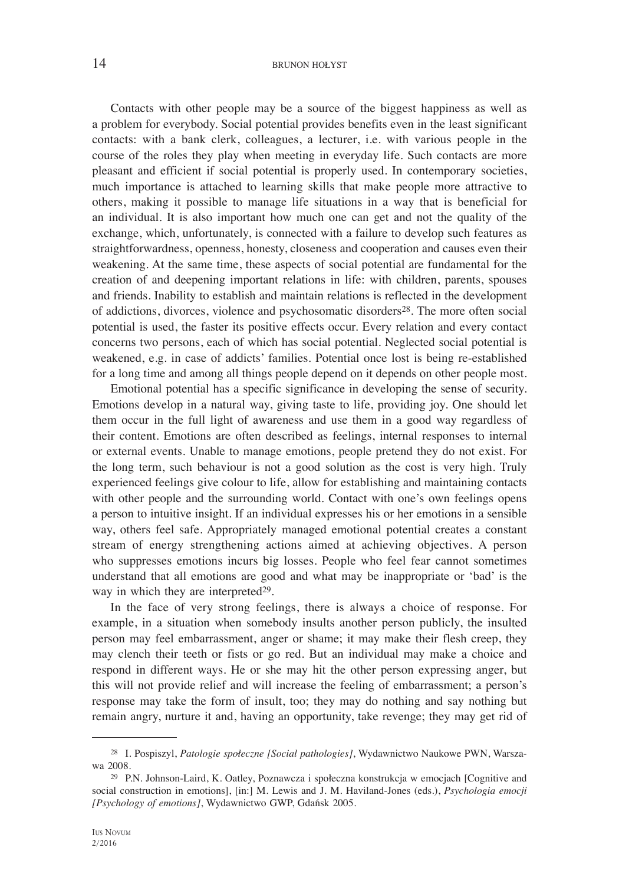#### 14 BRUNON HOŁYST

Contacts with other people may be a source of the biggest happiness as well as a problem for everybody. Social potential provides benefits even in the least significant contacts: with a bank clerk, colleagues, a lecturer, i.e. with various people in the course of the roles they play when meeting in everyday life. Such contacts are more pleasant and efficient if social potential is properly used. In contemporary societies, much importance is attached to learning skills that make people more attractive to others, making it possible to manage life situations in a way that is beneficial for an individual. It is also important how much one can get and not the quality of the exchange, which, unfortunately, is connected with a failure to develop such features as straightforwardness, openness, honesty, closeness and cooperation and causes even their weakening. At the same time, these aspects of social potential are fundamental for the creation of and deepening important relations in life: with children, parents, spouses and friends. Inability to establish and maintain relations is reflected in the development of addictions, divorces, violence and psychosomatic disorders28. The more often social potential is used, the faster its positive effects occur. Every relation and every contact concerns two persons, each of which has social potential. Neglected social potential is weakened, e.g. in case of addicts' families. Potential once lost is being re-established for a long time and among all things people depend on it depends on other people most.

Emotional potential has a specific significance in developing the sense of security. Emotions develop in a natural way, giving taste to life, providing joy. One should let them occur in the full light of awareness and use them in a good way regardless of their content. Emotions are often described as feelings, internal responses to internal or external events. Unable to manage emotions, people pretend they do not exist. For the long term, such behaviour is not a good solution as the cost is very high. Truly experienced feelings give colour to life, allow for establishing and maintaining contacts with other people and the surrounding world. Contact with one's own feelings opens a person to intuitive insight. If an individual expresses his or her emotions in a sensible way, others feel safe. Appropriately managed emotional potential creates a constant stream of energy strengthening actions aimed at achieving objectives. A person who suppresses emotions incurs big losses. People who feel fear cannot sometimes understand that all emotions are good and what may be inappropriate or 'bad' is the way in which they are interpreted<sup>29</sup>.

In the face of very strong feelings, there is always a choice of response. For example, in a situation when somebody insults another person publicly, the insulted person may feel embarrassment, anger or shame; it may make their flesh creep, they may clench their teeth or fists or go red. But an individual may make a choice and respond in different ways. He or she may hit the other person expressing anger, but this will not provide relief and will increase the feeling of embarrassment; a person's response may take the form of insult, too; they may do nothing and say nothing but remain angry, nurture it and, having an opportunity, take revenge; they may get rid of

<sup>28</sup> I. Pospiszyl, *Patologie społeczne [Social pathologies]*, Wydawnictwo Naukowe PWN, Warszawa 2008.

<sup>29</sup> P.N. Johnson-Laird, K. Oatley, Poznawcza i społeczna konstrukcja w emocjach [Cognitive and social construction in emotions], [in:] M. Lewis and J. M. Haviland-Jones (eds.), *Psychologia emocji [Psychology of emotions]*, Wydawnictwo GWP, Gdańsk 2005.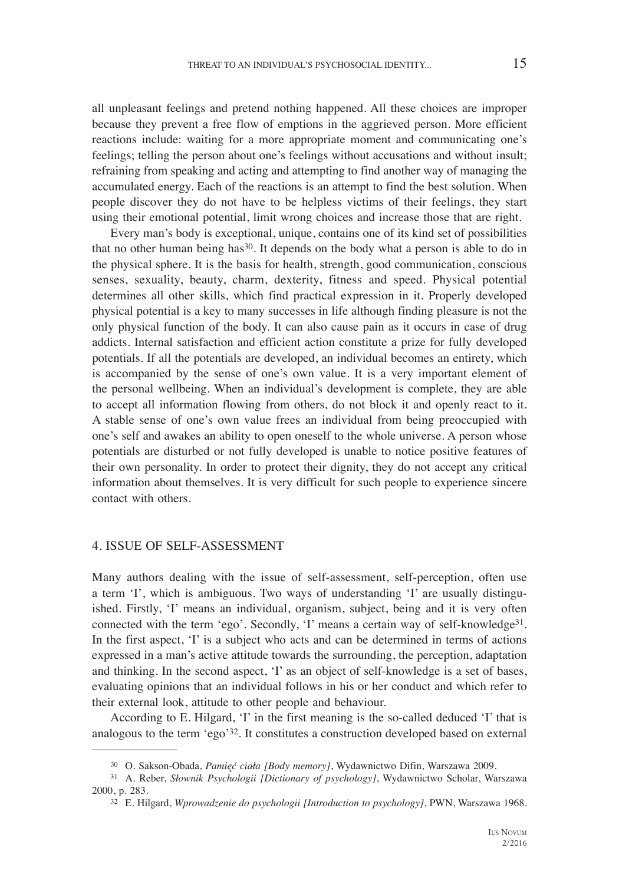all unpleasant feelings and pretend nothing happened. All these choices are improper because they prevent a free flow of emptions in the aggrieved person. More efficient reactions include: waiting for a more appropriate moment and communicating one's feelings; telling the person about one's feelings without accusations and without insult; refraining from speaking and acting and attempting to find another way of managing the accumulated energy. Each of the reactions is an attempt to find the best solution. When people discover they do not have to be helpless victims of their feelings, they start using their emotional potential, limit wrong choices and increase those that are right.

Every man's body is exceptional, unique, contains one of its kind set of possibilities that no other human being has30. It depends on the body what a person is able to do in the physical sphere. It is the basis for health, strength, good communication, conscious senses, sexuality, beauty, charm, dexterity, fitness and speed. Physical potential determines all other skills, which find practical expression in it. Properly developed physical potential is a key to many successes in life although finding pleasure is not the only physical function of the body. It can also cause pain as it occurs in case of drug addicts. Internal satisfaction and efficient action constitute a prize for fully developed potentials. If all the potentials are developed, an individual becomes an entirety, which is accompanied by the sense of one's own value. It is a very important element of the personal wellbeing. When an individual's development is complete, they are able to accept all information flowing from others, do not block it and openly react to it. A stable sense of one's own value frees an individual from being preoccupied with one's self and awakes an ability to open oneself to the whole universe. A person whose potentials are disturbed or not fully developed is unable to notice positive features of their own personality. In order to protect their dignity, they do not accept any critical information about themselves. It is very difficult for such people to experience sincere contact with others.

#### 4. ISSUE OF SELF-ASSESSMENT

Many authors dealing with the issue of self-assessment, self-perception, often use a term 'I', which is ambiguous. Two ways of understanding 'I' are usually distinguished. Firstly, 'I' means an individual, organism, subject, being and it is very often connected with the term 'ego'. Secondly, 'I' means a certain way of self-knowledge<sup>31</sup>. In the first aspect, 'I' is a subject who acts and can be determined in terms of actions expressed in a man's active attitude towards the surrounding, the perception, adaptation and thinking. In the second aspect, 'I' as an object of self-knowledge is a set of bases, evaluating opinions that an individual follows in his or her conduct and which refer to their external look, attitude to other people and behaviour.

According to E. Hilgard, 'I' in the first meaning is the so-called deduced 'I' that is analogous to the term 'ego'32. It constitutes a construction developed based on external

<sup>30</sup> O. Sakson-Obada, *Pamięć ciała [Body memory]*, Wydawnictwo Difin, Warszawa 2009.

<sup>31</sup> A. Reber, *Słownik Psychologii [Dictionary of psychology]*, Wydawnictwo Scholar, Warszawa 2000, p. 283.

<sup>32</sup> E. Hilgard, *Wprowadzenie do psychologii [Introduction to psychology]*, PWN, Warszawa 1968.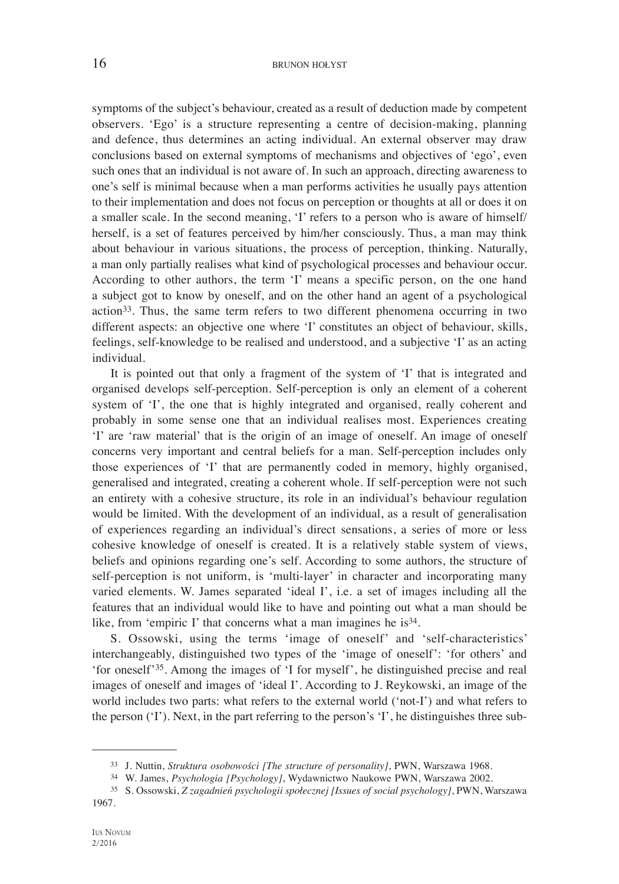symptoms of the subject's behaviour, created as a result of deduction made by competent observers. 'Ego' is a structure representing a centre of decision-making, planning and defence, thus determines an acting individual. An external observer may draw conclusions based on external symptoms of mechanisms and objectives of 'ego', even such ones that an individual is not aware of. In such an approach, directing awareness to one's self is minimal because when a man performs activities he usually pays attention to their implementation and does not focus on perception or thoughts at all or does it on a smaller scale. In the second meaning, 'I' refers to a person who is aware of himself/ herself, is a set of features perceived by him/her consciously. Thus, a man may think about behaviour in various situations, the process of perception, thinking. Naturally, a man only partially realises what kind of psychological processes and behaviour occur. According to other authors, the term 'I' means a specific person, on the one hand a subject got to know by oneself, and on the other hand an agent of a psychological action33. Thus, the same term refers to two different phenomena occurring in two different aspects: an objective one where 'I' constitutes an object of behaviour, skills, feelings, self-knowledge to be realised and understood, and a subjective 'I' as an acting individual.

It is pointed out that only a fragment of the system of 'I' that is integrated and organised develops self-perception. Self-perception is only an element of a coherent system of 'I', the one that is highly integrated and organised, really coherent and probably in some sense one that an individual realises most. Experiences creating 'I' are 'raw material' that is the origin of an image of oneself. An image of oneself concerns very important and central beliefs for a man. Self-perception includes only those experiences of 'I' that are permanently coded in memory, highly organised, generalised and integrated, creating a coherent whole. If self-perception were not such an entirety with a cohesive structure, its role in an individual's behaviour regulation would be limited. With the development of an individual, as a result of generalisation of experiences regarding an individual's direct sensations, a series of more or less cohesive knowledge of oneself is created. It is a relatively stable system of views, beliefs and opinions regarding one's self. According to some authors, the structure of self-perception is not uniform, is 'multi-layer' in character and incorporating many varied elements. W. James separated 'ideal I', i.e. a set of images including all the features that an individual would like to have and pointing out what a man should be like, from 'empiric I' that concerns what a man imagines he is<sup>34</sup>.

S. Ossowski, using the terms 'image of oneself' and 'self-characteristics' interchangeably, distinguished two types of the 'image of oneself': 'for others' and 'for oneself'35. Among the images of 'I for myself', he distinguished precise and real images of oneself and images of 'ideal I'. According to J. Reykowski, an image of the world includes two parts: what refers to the external world ('not-I') and what refers to the person ('I'). Next, in the part referring to the person's 'I', he distinguishes three sub-

<sup>33</sup> J. Nuttin, *Struktura osobowości [The structure of personality]*, PWN, Warszawa 1968.

<sup>34</sup> W. James, *Psychologia [Psychology]*, Wydawnictwo Naukowe PWN, Warszawa 2002.

<sup>35</sup> S. Ossowski, *Z zagadnień psychologii społecznej [Issues of social psychology]*, PWN, Warszawa 1967.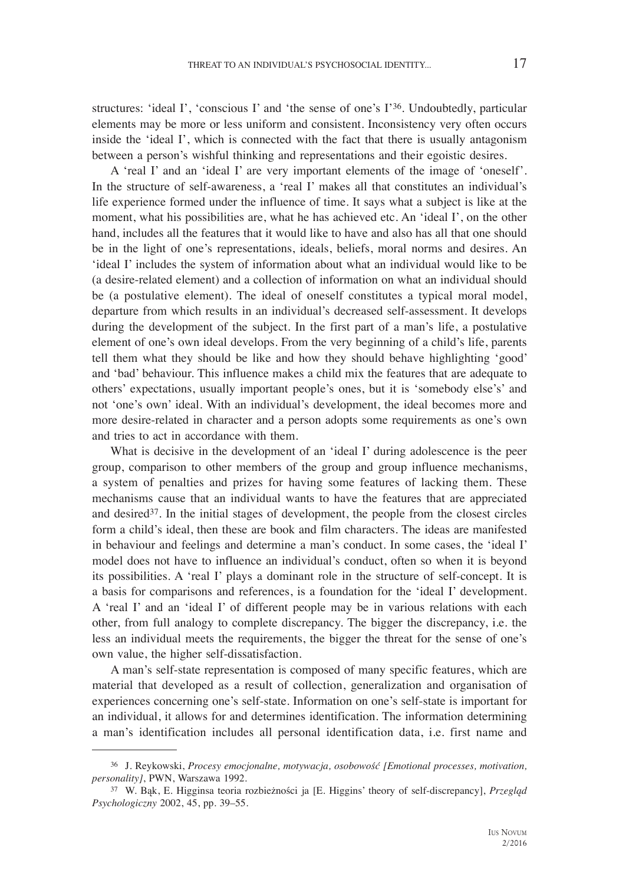structures: 'ideal I', 'conscious I' and 'the sense of one's I'36. Undoubtedly, particular elements may be more or less uniform and consistent. Inconsistency very often occurs inside the 'ideal I', which is connected with the fact that there is usually antagonism between a person's wishful thinking and representations and their egoistic desires.

A 'real I' and an 'ideal I' are very important elements of the image of 'oneself'. In the structure of self-awareness, a 'real I' makes all that constitutes an individual's life experience formed under the influence of time. It says what a subject is like at the moment, what his possibilities are, what he has achieved etc. An 'ideal I', on the other hand, includes all the features that it would like to have and also has all that one should be in the light of one's representations, ideals, beliefs, moral norms and desires. An 'ideal I' includes the system of information about what an individual would like to be (a desire-related element) and a collection of information on what an individual should be (a postulative element). The ideal of oneself constitutes a typical moral model, departure from which results in an individual's decreased self-assessment. It develops during the development of the subject. In the first part of a man's life, a postulative element of one's own ideal develops. From the very beginning of a child's life, parents tell them what they should be like and how they should behave highlighting 'good' and 'bad' behaviour. This influence makes a child mix the features that are adequate to others' expectations, usually important people's ones, but it is 'somebody else's' and not 'one's own' ideal. With an individual's development, the ideal becomes more and more desire-related in character and a person adopts some requirements as one's own and tries to act in accordance with them.

What is decisive in the development of an 'ideal I' during adolescence is the peer group, comparison to other members of the group and group influence mechanisms, a system of penalties and prizes for having some features of lacking them. These mechanisms cause that an individual wants to have the features that are appreciated and desired<sup>37</sup>. In the initial stages of development, the people from the closest circles form a child's ideal, then these are book and film characters. The ideas are manifested in behaviour and feelings and determine a man's conduct. In some cases, the 'ideal I' model does not have to influence an individual's conduct, often so when it is beyond its possibilities. A 'real I' plays a dominant role in the structure of self-concept. It is a basis for comparisons and references, is a foundation for the 'ideal I' development. A 'real I' and an 'ideal I' of different people may be in various relations with each other, from full analogy to complete discrepancy. The bigger the discrepancy, i.e. the less an individual meets the requirements, the bigger the threat for the sense of one's own value, the higher self-dissatisfaction.

A man's self-state representation is composed of many specific features, which are material that developed as a result of collection, generalization and organisation of experiences concerning one's self-state. Information on one's self-state is important for an individual, it allows for and determines identification. The information determining a man's identification includes all personal identification data, i.e. first name and

<sup>36</sup> J. Reykowski, *Procesy emocjonalne, motywacja, osobowość [Emotional processes, motivation,* 

*personality]*, PWN, Warszawa 1992. 37 W. Bąk, E. Higginsa teoria rozbieżności ja [E. Higgins' theory of self-discrepancy], *Przeglą<sup>d</sup> Psychologiczny* 2002, 45, pp. 39–55.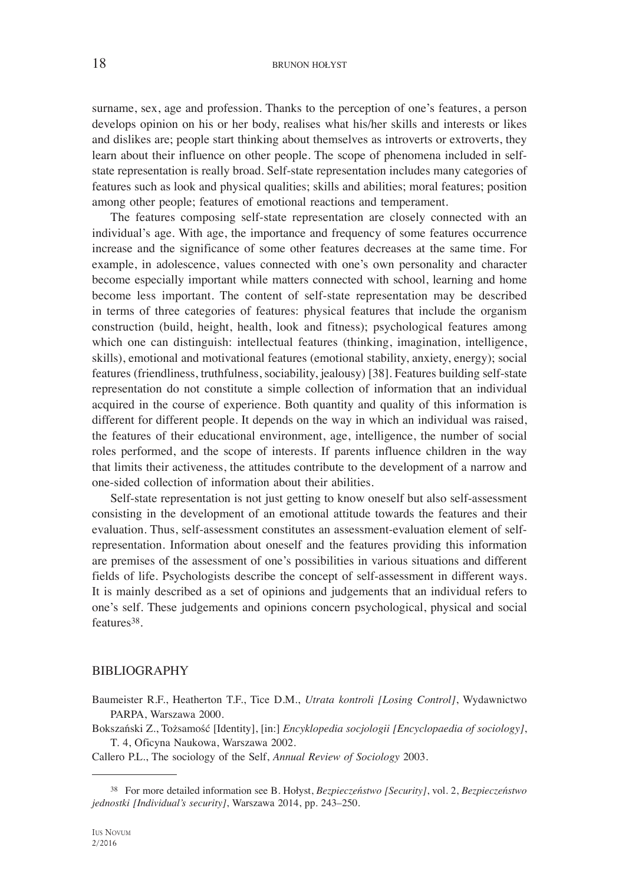surname, sex, age and profession. Thanks to the perception of one's features, a person develops opinion on his or her body, realises what his/her skills and interests or likes and dislikes are; people start thinking about themselves as introverts or extroverts, they learn about their influence on other people. The scope of phenomena included in selfstate representation is really broad. Self-state representation includes many categories of features such as look and physical qualities; skills and abilities; moral features; position among other people; features of emotional reactions and temperament.

The features composing self-state representation are closely connected with an individual's age. With age, the importance and frequency of some features occurrence increase and the significance of some other features decreases at the same time. For example, in adolescence, values connected with one's own personality and character become especially important while matters connected with school, learning and home become less important. The content of self-state representation may be described in terms of three categories of features: physical features that include the organism construction (build, height, health, look and fitness); psychological features among which one can distinguish: intellectual features (thinking, imagination, intelligence, skills), emotional and motivational features (emotional stability, anxiety, energy); social features (friendliness, truthfulness, sociability, jealousy) [38]. Features building self-state representation do not constitute a simple collection of information that an individual acquired in the course of experience. Both quantity and quality of this information is different for different people. It depends on the way in which an individual was raised, the features of their educational environment, age, intelligence, the number of social roles performed, and the scope of interests. If parents influence children in the way that limits their activeness, the attitudes contribute to the development of a narrow and one-sided collection of information about their abilities.

Self-state representation is not just getting to know oneself but also self-assessment consisting in the development of an emotional attitude towards the features and their evaluation. Thus, self-assessment constitutes an assessment-evaluation element of selfrepresentation. Information about oneself and the features providing this information are premises of the assessment of one's possibilities in various situations and different fields of life. Psychologists describe the concept of self-assessment in different ways. It is mainly described as a set of opinions and judgements that an individual refers to one's self. These judgements and opinions concern psychological, physical and social features38.

#### BIBLIOGRAPHY

- Baumeister R.F., Heatherton T.F., Tice D.M., *Utrata kontroli [Losing Control]*, Wydawnictwo PARPA, Warszawa 2000.
- Bokszański Z., Tożsamość [Identity], [in:] *Encyklopedia socjologii [Encyclopaedia of sociology]*, T. 4, Oficyna Naukowa, Warszawa 2002.

Callero P.L., The sociology of the Self, *Annual Review of Sociology* 2003.

<sup>38</sup> For more detailed information see B. Hołyst, *Bezpieczeństwo [Security]*, vol. 2, *Bezpieczeństwo jednostki [Individual's security]*, Warszawa 2014, pp. 243–250.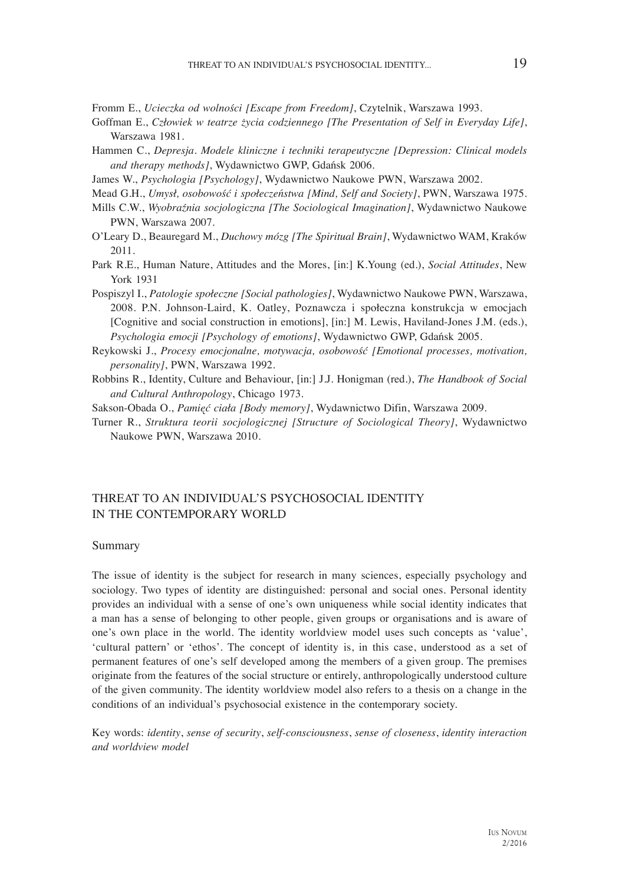Fromm E., *Ucieczka od wolności [Escape from Freedom]*, Czytelnik, Warszawa 1993.

- Goffman E., *Człowiek w teatrze życia codziennego [The Presentation of Self in Everyday Life]*, Warszawa 1981.
- Hammen C., *Depresja. Modele kliniczne i techniki terapeutyczne [Depression: Clinical models and therapy methods]*, Wydawnictwo GWP, Gdańsk 2006.
- James W., *Psychologia [Psychology]*, Wydawnictwo Naukowe PWN, Warszawa 2002.
- Mead G.H., *Umysł, osobowość i społeczeństwa [Mind, Self and Society]*, PWN, Warszawa 1975.
- Mills C.W., *Wyobraźnia socjologiczna [The Sociological Imagination]*, Wydawnictwo Naukowe PWN, Warszawa 2007.
- O'Leary D., Beauregard M., *Duchowy mózg [The Spiritual Brain]*, Wydawnictwo WAM, Kraków 2011.
- Park R.E., Human Nature, Attitudes and the Mores, [in:] K.Young (ed.), *Social Attitudes*, New York 1931
- Pospiszyl I., *Patologie społeczne [Social pathologies]*, Wydawnictwo Naukowe PWN, Warszawa, 2008. P.N. Johnson-Laird, K. Oatley, Poznawcza i społeczna konstrukcja w emocjach [Cognitive and social construction in emotions], [in:] M. Lewis, Haviland-Jones J.M. (eds.), *Psychologia emocji [Psychology of emotions]*, Wydawnictwo GWP, Gdańsk 2005.
- Reykowski J., *Procesy emocjonalne, motywacja, osobowość [Emotional processes, motivation, personality]*, PWN, Warszawa 1992.
- Robbins R., Identity, Culture and Behaviour, [in:] J.J. Honigman (red.), *The Handbook of Social and Cultural Anthropology*, Chicago 1973.
- Sakson-Obada O., *Pamięć ciała [Body memory]*, Wydawnictwo Difin, Warszawa 2009.
- Turner R., *Struktura teorii socjologicznej [Structure of Sociological Theory]*, Wydawnictwo Naukowe PWN, Warszawa 2010.

### THREAT TO AN INDIVIDUAL'S PSYCHOSOCIAL IDENTITY IN THE CONTEMPORARY WORLD

#### Summary

The issue of identity is the subject for research in many sciences, especially psychology and sociology. Two types of identity are distinguished: personal and social ones. Personal identity provides an individual with a sense of one's own uniqueness while social identity indicates that a man has a sense of belonging to other people, given groups or organisations and is aware of one's own place in the world. The identity worldview model uses such concepts as 'value', 'cultural pattern' or 'ethos'. The concept of identity is, in this case, understood as a set of permanent features of one's self developed among the members of a given group. The premises originate from the features of the social structure or entirely, anthropologically understood culture of the given community. The identity worldview model also refers to a thesis on a change in the conditions of an individual's psychosocial existence in the contemporary society.

Key words: *identity*, *sense of security*, *self-consciousness*, *sense of closeness*, *identity interaction and worldview model*